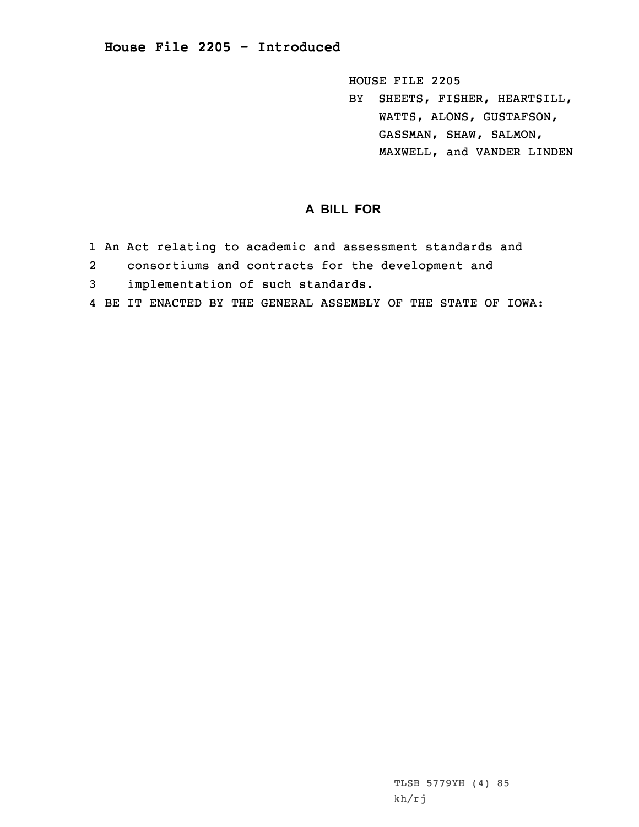HOUSE FILE 2205

BY SHEETS, FISHER, HEARTSILL, WATTS, ALONS, GUSTAFSON, GASSMAN, SHAW, SALMON, MAXWELL, and VANDER LINDEN

## **A BILL FOR**

- 1 An Act relating to academic and assessment standards and
- 2consortiums and contracts for the development and
- 3 implementation of such standards.
- 4 BE IT ENACTED BY THE GENERAL ASSEMBLY OF THE STATE OF IOWA: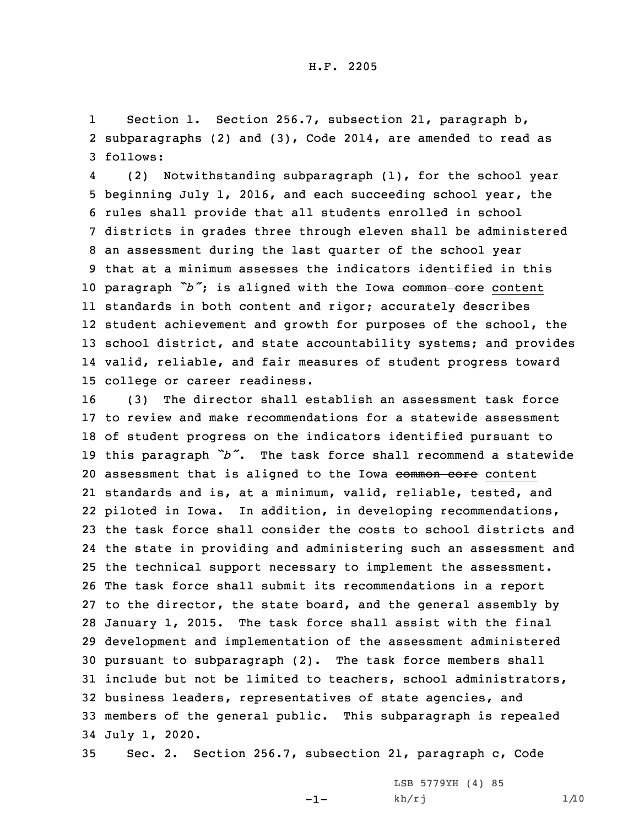1 Section 1. Section 256.7, subsection 21, paragraph b, 2 subparagraphs (2) and (3), Code 2014, are amended to read as 3 follows:

4 (2) Notwithstanding subparagraph (1), for the school year beginning July 1, 2016, and each succeeding school year, the rules shall provide that all students enrolled in school districts in grades three through eleven shall be administered an assessment during the last quarter of the school year that at <sup>a</sup> minimum assesses the indicators identified in this 10 paragraph "b"; is aligned with the Iowa common core content standards in both content and rigor; accurately describes student achievement and growth for purposes of the school, the school district, and state accountability systems; and provides valid, reliable, and fair measures of student progress toward college or career readiness.

 (3) The director shall establish an assessment task force to review and make recommendations for <sup>a</sup> statewide assessment of student progress on the indicators identified pursuant to this paragraph *"b"*. The task force shall recommend <sup>a</sup> statewide 20 assessment that is aligned to the Iowa common core content standards and is, at <sup>a</sup> minimum, valid, reliable, tested, and piloted in Iowa. In addition, in developing recommendations, the task force shall consider the costs to school districts and the state in providing and administering such an assessment and the technical support necessary to implement the assessment. The task force shall submit its recommendations in <sup>a</sup> report to the director, the state board, and the general assembly by January 1, 2015. The task force shall assist with the final development and implementation of the assessment administered pursuant to subparagraph (2). The task force members shall include but not be limited to teachers, school administrators, business leaders, representatives of state agencies, and members of the general public. This subparagraph is repealed July 1, 2020.

35 Sec. 2. Section 256.7, subsection 21, paragraph c, Code

-1-

LSB 5779YH (4) 85  $kh/rj$  1/10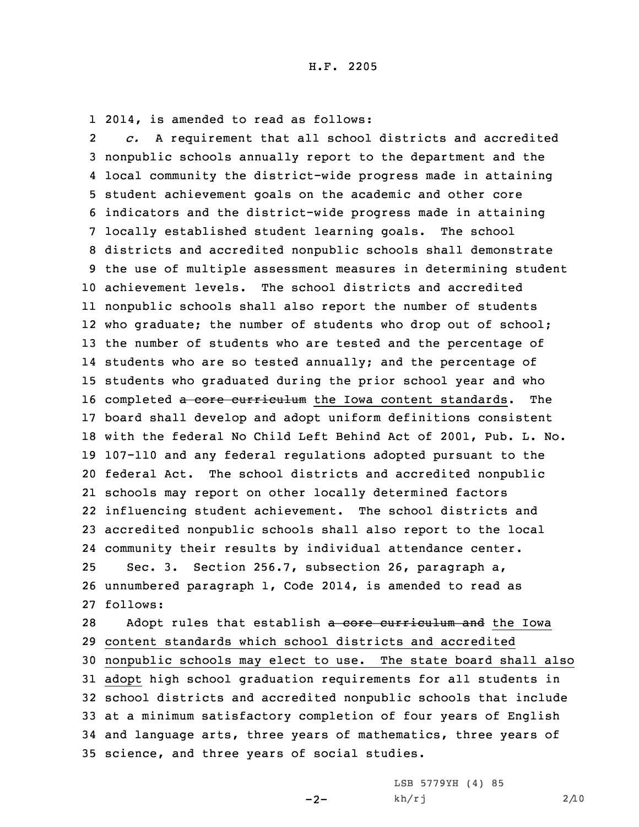1 2014, is amended to read as follows:

2 *c.* <sup>A</sup> requirement that all school districts and accredited nonpublic schools annually report to the department and the local community the district-wide progress made in attaining student achievement goals on the academic and other core indicators and the district-wide progress made in attaining locally established student learning goals. The school districts and accredited nonpublic schools shall demonstrate the use of multiple assessment measures in determining student achievement levels. The school districts and accredited nonpublic schools shall also report the number of students who graduate; the number of students who drop out of school; the number of students who are tested and the percentage of 14 students who are so tested annually; and the percentage of students who graduated during the prior school year and who 16 completed a core curriculum the Iowa content standards. The board shall develop and adopt uniform definitions consistent with the federal No Child Left Behind Act of 2001, Pub. L. No. 107-110 and any federal regulations adopted pursuant to the federal Act. The school districts and accredited nonpublic schools may report on other locally determined factors influencing student achievement. The school districts and accredited nonpublic schools shall also report to the local community their results by individual attendance center. Sec. 3. Section 256.7, subsection 26, paragraph a, unnumbered paragraph 1, Code 2014, is amended to read as 27 follows: 28 Adopt rules that establish a core curriculum and the Iowa content standards which school districts and accredited nonpublic schools may elect to use. The state board shall also adopt high school graduation requirements for all students in school districts and accredited nonpublic schools that include

33 at <sup>a</sup> minimum satisfactory completion of four years of English 34 and language arts, three years of mathematics, three years of 35 science, and three years of social studies.

 $-2-$ 

LSB 5779YH (4) 85 kh/rj 2/10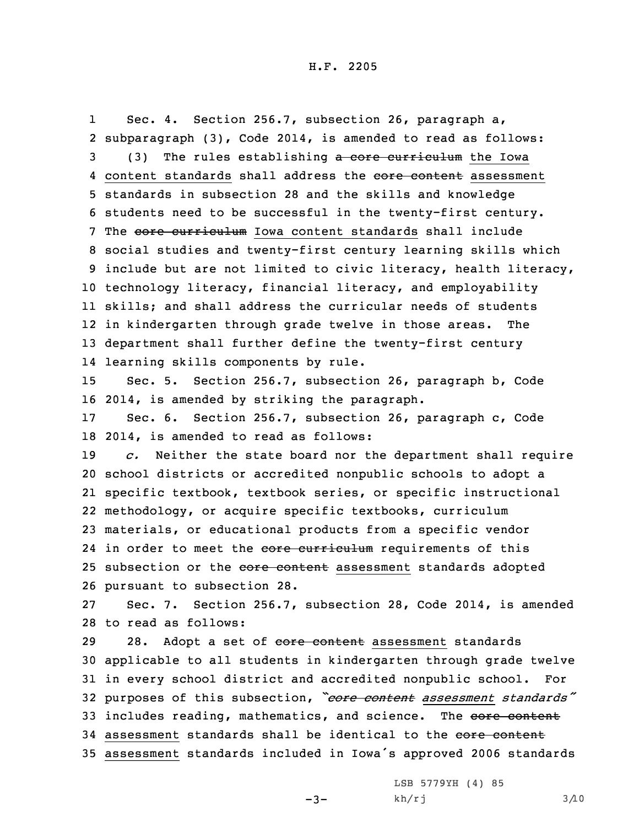Sec. 4. Section 256.7, subsection 26, paragraph a,

1

 subparagraph (3), Code 2014, is amended to read as follows: 3 (3) The rules establishing a core curriculum the Iowa 4 content standards shall address the core content assessment standards in subsection 28 and the skills and knowledge students need to be successful in the twenty-first century. 7 The core curriculum Iowa content standards shall include social studies and twenty-first century learning skills which include but are not limited to civic literacy, health literacy, technology literacy, financial literacy, and employability skills; and shall address the curricular needs of students in kindergarten through grade twelve in those areas. The department shall further define the twenty-first century learning skills components by rule. Sec. 5. Section 256.7, subsection 26, paragraph b, Code 2014, is amended by striking the paragraph. Sec. 6. Section 256.7, subsection 26, paragraph c, Code 2014, is amended to read as follows: *c.* Neither the state board nor the department shall require school districts or accredited nonpublic schools to adopt <sup>a</sup> specific textbook, textbook series, or specific instructional methodology, or acquire specific textbooks, curriculum materials, or educational products from <sup>a</sup> specific vendor 24 in order to meet the core curriculum requirements of this 25 subsection or the core content assessment standards adopted pursuant to subsection 28. Sec. 7. Section 256.7, subsection 28, Code 2014, is amended to read as follows: 29 28. Adopt a set of core content assessment standards applicable to all students in kindergarten through grade twelve in every school district and accredited nonpublic school. For purposes of this subsection, *"core content assessment standards"* 33 includes reading, mathematics, and science. The core content 34 assessment standards shall be identical to the core content assessment standards included in Iowa's approved <sup>2006</sup> standards

 $-3-$ 

LSB 5779YH (4) 85  $kh/rj$  3/10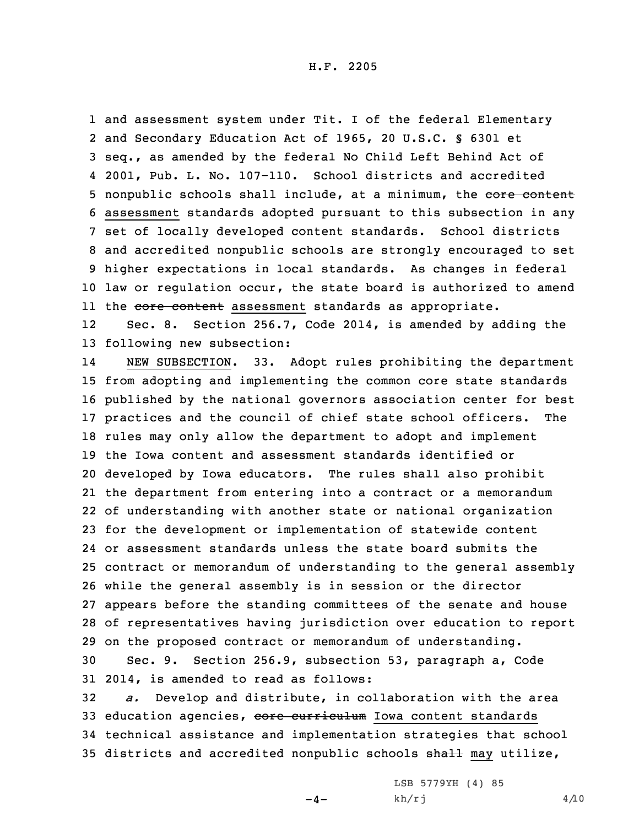and assessment system under Tit. <sup>I</sup> of the federal Elementary and Secondary Education Act of 1965, 20 U.S.C. § 6301 et seq., as amended by the federal No Child Left Behind Act of 2001, Pub. L. No. 107-110. School districts and accredited 5 nonpublic schools shall include, at a minimum, the core content assessment standards adopted pursuant to this subsection in any set of locally developed content standards. School districts and accredited nonpublic schools are strongly encouraged to set higher expectations in local standards. As changes in federal law or regulation occur, the state board is authorized to amend ll the <del>core content</del> assessment standards as appropriate.

12 Sec. 8. Section 256.7, Code 2014, is amended by adding the 13 following new subsection:

14 NEW SUBSECTION. 33. Adopt rules prohibiting the department from adopting and implementing the common core state standards published by the national governors association center for best practices and the council of chief state school officers. The rules may only allow the department to adopt and implement the Iowa content and assessment standards identified or developed by Iowa educators. The rules shall also prohibit the department from entering into <sup>a</sup> contract or <sup>a</sup> memorandum of understanding with another state or national organization for the development or implementation of statewide content or assessment standards unless the state board submits the contract or memorandum of understanding to the general assembly while the general assembly is in session or the director appears before the standing committees of the senate and house of representatives having jurisdiction over education to report on the proposed contract or memorandum of understanding.

30 Sec. 9. Section 256.9, subsection 53, paragraph a, Code 31 2014, is amended to read as follows:

32 *a.* Develop and distribute, in collaboration with the area 33 education agencies, core curriculum Iowa content standards 34 technical assistance and implementation strategies that school 35 districts and accredited nonpublic schools shall may utilize,

 $-4-$ 

LSB 5779YH (4) 85  $kh/rj$  4/10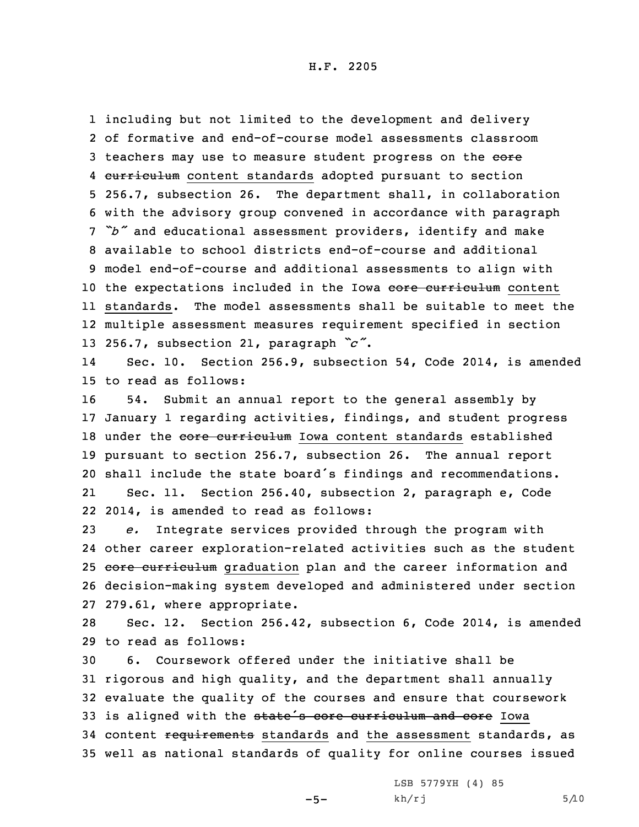H.F. 2205

 including but not limited to the development and delivery of formative and end-of-course model assessments classroom 3 teachers may use to measure student progress on the eore 4 curriculum content standards adopted pursuant to section 256.7, subsection 26. The department shall, in collaboration with the advisory group convened in accordance with paragraph *"b"* and educational assessment providers, identify and make available to school districts end-of-course and additional model end-of-course and additional assessments to align with 10 the expectations included in the Iowa core curriculum content standards. The model assessments shall be suitable to meet the multiple assessment measures requirement specified in section 256.7, subsection 21, paragraph *"c"*.

14 Sec. 10. Section 256.9, subsection 54, Code 2014, is amended 15 to read as follows:

 54. Submit an annual report to the general assembly by January 1 regarding activities, findings, and student progress 18 under the core curriculum Iowa content standards established pursuant to section 256.7, subsection 26. The annual report shall include the state board's findings and recommendations. 21 Sec. 11. Section 256.40, subsection 2, paragraph e, Code 2014, is amended to read as follows:

 *e.* Integrate services provided through the program with other career exploration-related activities such as the student 25 core curriculum graduation plan and the career information and decision-making system developed and administered under section 279.61, where appropriate.

28 Sec. 12. Section 256.42, subsection 6, Code 2014, is amended 29 to read as follows:

 6. Coursework offered under the initiative shall be rigorous and high quality, and the department shall annually evaluate the quality of the courses and ensure that coursework 33 is aligned with the state's core curriculum and core Iowa 34 content requirements standards and the assessment standards, as well as national standards of quality for online courses issued

 $-5-$ 

LSB 5779YH (4) 85  $kh/rj$  5/10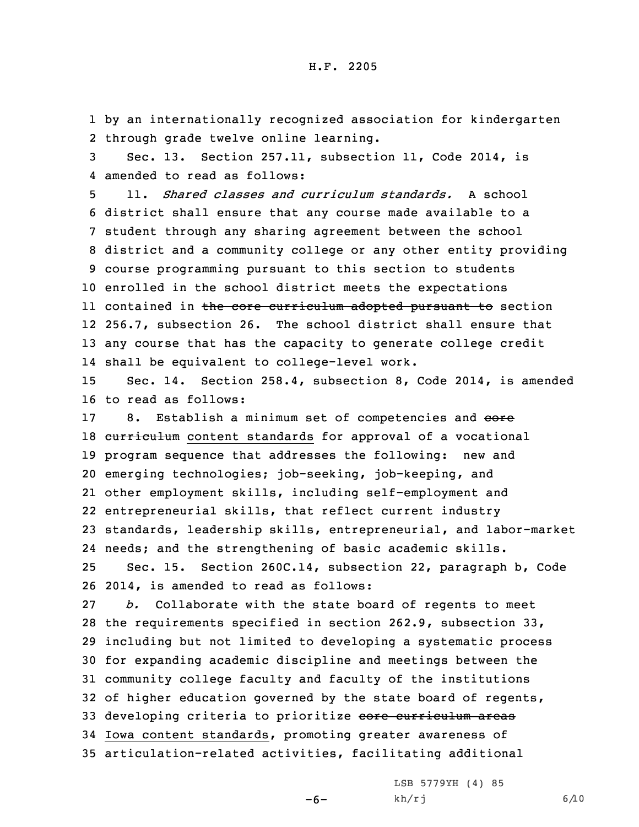1 by an internationally recognized association for kindergarten 2 through grade twelve online learning.

3 Sec. 13. Section 257.11, subsection 11, Code 2014, is 4 amended to read as follows:

 11. *Shared classes and curriculum standards.* A school district shall ensure that any course made available to <sup>a</sup> student through any sharing agreement between the school district and <sup>a</sup> community college or any other entity providing course programming pursuant to this section to students enrolled in the school district meets the expectations ll contained in <del>the core curriculum adopted pursuant to</del> section 256.7, subsection 26. The school district shall ensure that any course that has the capacity to generate college credit shall be equivalent to college-level work.

15 Sec. 14. Section 258.4, subsection 8, Code 2014, is amended 16 to read as follows:

17 8. Establish a minimum set of competencies and eore 18 curriculum content standards for approval of a vocational program sequence that addresses the following: new and emerging technologies; job-seeking, job-keeping, and other employment skills, including self-employment and entrepreneurial skills, that reflect current industry standards, leadership skills, entrepreneurial, and labor-market needs; and the strengthening of basic academic skills. Sec. 15. Section 260C.14, subsection 22, paragraph b, Code 2014, is amended to read as follows:

 *b.* Collaborate with the state board of regents to meet the requirements specified in section 262.9, subsection 33, including but not limited to developing <sup>a</sup> systematic process for expanding academic discipline and meetings between the community college faculty and faculty of the institutions of higher education governed by the state board of regents, 33 developing criteria to prioritize core curriculum areas Iowa content standards, promoting greater awareness of articulation-related activities, facilitating additional

-6-

LSB 5779YH (4) 85  $kh/rj$  6/10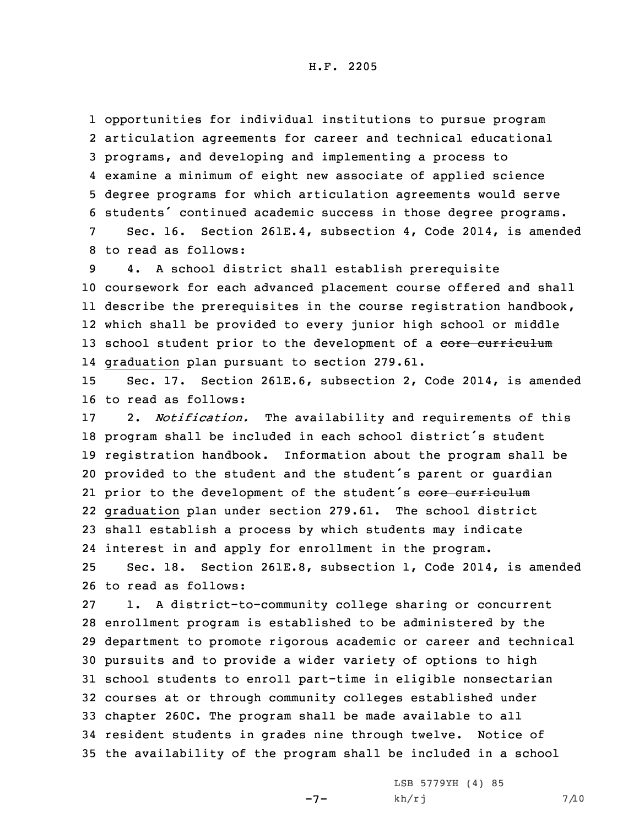H.F. 2205

 opportunities for individual institutions to pursue program articulation agreements for career and technical educational programs, and developing and implementing <sup>a</sup> process to examine <sup>a</sup> minimum of eight new associate of applied science degree programs for which articulation agreements would serve students' continued academic success in those degree programs. Sec. 16. Section 261E.4, subsection 4, Code 2014, is amended

8 to read as follows:

 4. <sup>A</sup> school district shall establish prerequisite coursework for each advanced placement course offered and shall describe the prerequisites in the course registration handbook, which shall be provided to every junior high school or middle 13 school student prior to the development of a core curriculum graduation plan pursuant to section 279.61.

15 Sec. 17. Section 261E.6, subsection 2, Code 2014, is amended 16 to read as follows:

 2. *Notification.* The availability and requirements of this program shall be included in each school district's student registration handbook. Information about the program shall be provided to the student and the student's parent or guardian 21 prior to the development of the student's core curriculum graduation plan under section 279.61. The school district shall establish <sup>a</sup> process by which students may indicate interest in and apply for enrollment in the program.

25 Sec. 18. Section 261E.8, subsection 1, Code 2014, is amended 26 to read as follows:

 1. <sup>A</sup> district-to-community college sharing or concurrent enrollment program is established to be administered by the department to promote rigorous academic or career and technical pursuits and to provide <sup>a</sup> wider variety of options to high school students to enroll part-time in eligible nonsectarian courses at or through community colleges established under chapter 260C. The program shall be made available to all resident students in grades nine through twelve. Notice of the availability of the program shall be included in <sup>a</sup> school

 $-7-$ 

LSB 5779YH (4) 85  $kh/rj$  7/10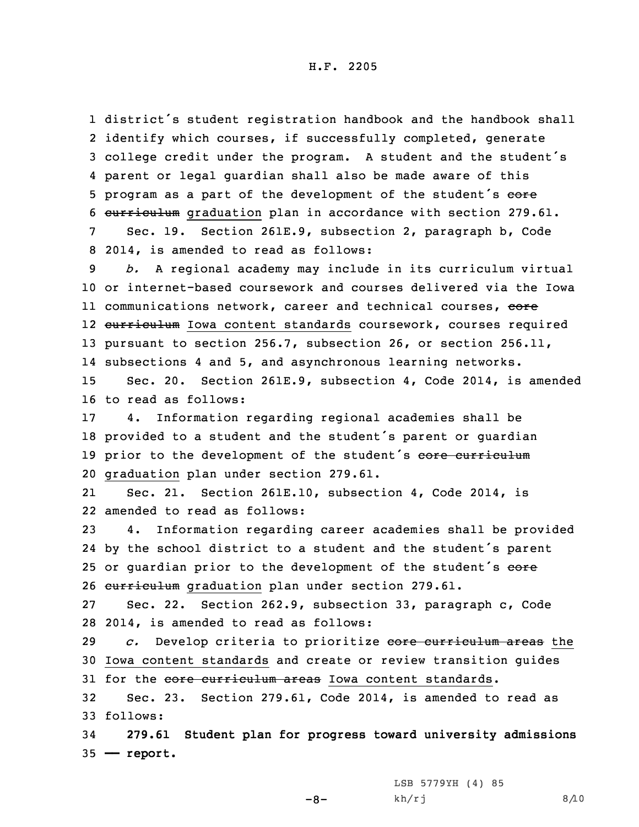district's student registration handbook and the handbook shall identify which courses, if successfully completed, generate college credit under the program. <sup>A</sup> student and the student's parent or legal guardian shall also be made aware of this 5 program as a part of the development of the student's core curriculum graduation plan in accordance with section 279.61. Sec. 19. Section 261E.9, subsection 2, paragraph b, Code

8 2014, is amended to read as follows:

9 *b.* <sup>A</sup> regional academy may include in its curriculum virtual 10 or internet-based coursework and courses delivered via the Iowa 11 communications network, career and technical courses, <del>core</del> 12 <del>curriculum</del> Iowa content standards coursework, courses required 13 pursuant to section 256.7, subsection 26, or section 256.11, 14 subsections 4 and 5, and asynchronous learning networks. 15 Sec. 20. Section 261E.9, subsection 4, Code 2014, is amended

16 to read as follows:

 4. Information regarding regional academies shall be provided to <sup>a</sup> student and the student's parent or guardian 19 prior to the development of the student's core curriculum graduation plan under section 279.61.

21 Sec. 21. Section 261E.10, subsection 4, Code 2014, is 22 amended to read as follows:

23 4. Information regarding career academies shall be provided 24 by the school district to <sup>a</sup> student and the student's parent 25 or guardian prior to the development of the student's eore 26 curriculum graduation plan under section 279.61.

27 Sec. 22. Section 262.9, subsection 33, paragraph c, Code 28 2014, is amended to read as follows:

29 *c.* Develop criteria to prioritize core curriculum areas the 30 Iowa content standards and create or review transition guides 31 for the core curriculum areas Iowa content standards.

32 Sec. 23. Section 279.61, Code 2014, is amended to read as 33 follows:

-8-

34 **279.61 Student plan for progress toward university admissions** 35 **—— report.**

> LSB 5779YH (4) 85  $kh/rj$  8/10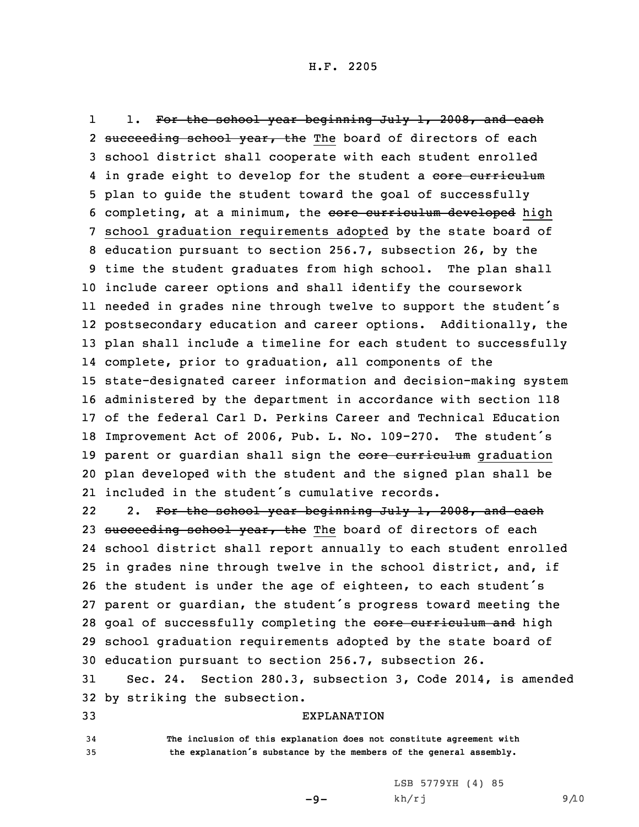11. For the school year beginning July 1, 2008, and each 2 <del>succeeding school year, the</del> The board of directors of each school district shall cooperate with each student enrolled 4 in grade eight to develop for the student a <del>core curriculum</del> plan to guide the student toward the goal of successfully 6 completing, at a minimum, the core curriculum developed high school graduation requirements adopted by the state board of education pursuant to section 256.7, subsection 26, by the time the student graduates from high school. The plan shall include career options and shall identify the coursework needed in grades nine through twelve to support the student's postsecondary education and career options. Additionally, the plan shall include <sup>a</sup> timeline for each student to successfully complete, prior to graduation, all components of the state-designated career information and decision-making system administered by the department in accordance with section 118 of the federal Carl D. Perkins Career and Technical Education Improvement Act of 2006, Pub. L. No. 109-270. The student's 19 parent or guardian shall sign the core curriculum graduation plan developed with the student and the signed plan shall be included in the student's cumulative records.

222. For the school year beginning July 1, 2008, and each 23 succeeding school year, the The board of directors of each 24 school district shall report annually to each student enrolled 25 in grades nine through twelve in the school district, and, if <sup>26</sup> the student is under the age of eighteen, to each student's 27 parent or guardian, the student's progress toward meeting the 28 goal of successfully completing the core curriculum and high 29 school graduation requirements adopted by the state board of 30 education pursuant to section 256.7, subsection 26.

31 Sec. 24. Section 280.3, subsection 3, Code 2014, is amended 32 by striking the subsection.

## 33 EXPLANATION

34 **The inclusion of this explanation does not constitute agreement with** <sup>35</sup> **the explanation's substance by the members of the general assembly.**

 $-9-$ 

LSB 5779YH (4) 85  $kh/rj$  9/10